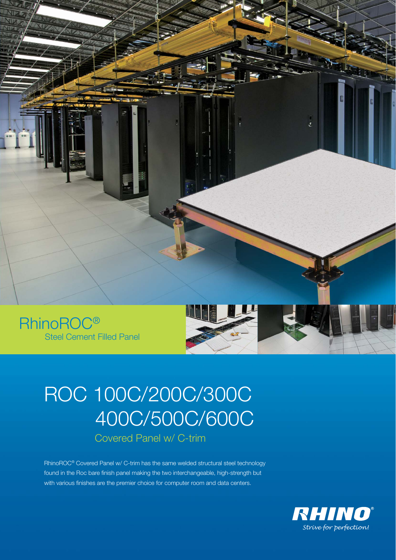

Steel Cement Filled Panel

# ROC 100C/200C/300C 400C/500C/600C Covered Panel w/ C-trim

RhinoROC® Covered Panel w/ C-trim has the same welded structural steel technology found in the Roc bare finish panel making the two interchangeable, high-strength but with various finishes are the premier choice for computer room and data centers.

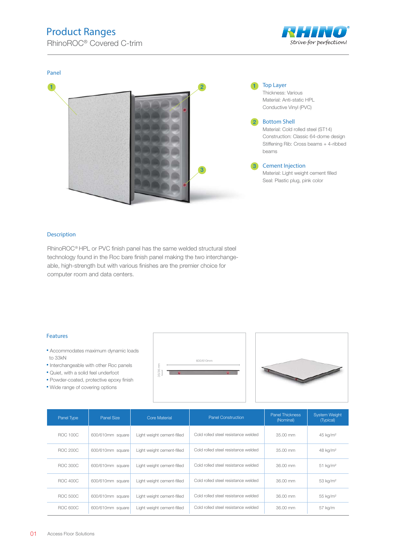## Product Ranges

RhinoROC<sup>®</sup> Covered C-trim





#### Description

RhinoROC® HPL or PVC finish panel has the same welded structural steel technology found in the Roc bare finish panel making the two interchangeable, high-strength but with various finishes are the premier choice for computer room and data centers.

#### Features

- Accommodates maximum dynamic loads to 33kN
- Interchangeable with other Roc panels
- Quiet, with a solid feel underfoot
- Powder-coated, protective epoxy finish
- Wide range of covering options





| Panel Type      | Panel Size       | <b>Core Material</b>       | <b>Panel Thickness</b><br><b>Panel Construction</b><br>(Nominal) |            | <b>System Weight</b><br>(Typical) |  |
|-----------------|------------------|----------------------------|------------------------------------------------------------------|------------|-----------------------------------|--|
| <b>ROC 100C</b> | 600/610mm square | Light weight cement-filled | Cold rolled steel resistance welded                              | $35.00$ mm | 45 kg/m <sup>2</sup>              |  |
| <b>ROC 200C</b> | 600/610mm square | Light weight cement-filled | Cold rolled steel resistance welded                              | $35.00$ mm | 48 kg/m <sup>2</sup>              |  |
| BOC 300C        | 600/610mm square | Light weight cement-filled | Cold rolled steel resistance welded                              | 36.00 mm   | $51$ kg/m <sup>2</sup>            |  |
| ROC 400C        | 600/610mm square | Light weight cement-filled | Cold rolled steel resistance welded                              | 36.00 mm   | 53 kg/m <sup>2</sup>              |  |
| <b>ROC 500C</b> | 600/610mm square | Light weight cement-filled | Cold rolled steel resistance welded                              | 36.00 mm   | 55 kg/m <sup>2</sup>              |  |
| ROC 600C        | 600/610mm square | Light weight cement-filled | Cold rolled steel resistance welded                              | 36.00 mm   | 57 kg/m                           |  |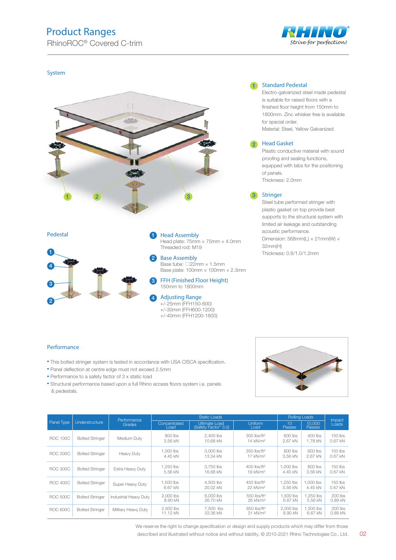## Product Ranges

RhinoROC<sup>®</sup> Covered C-trim



#### System





Pedestal **Head Assembly** 

1

2

4

Head plate: 75mm × 75mm × 4.0mm Threaded rod: M19

Base Assembly Base tube: □22mm × 1.5mm Base plate: 100mm × 100mm × 2.3mm

FFH (Finished Floor Height) 150mm to 1800mm 3

Adjusting Range +/-25mm (FFH150-600) +/-30mm (FFH600-1200) +/-40mm (FFH1200-1800)

#### 1 Standard Pedestal

Electro-galvanized steel made pedestal is suitable for raised floors with a finished floor height from 150mm to 1800mm. Zinc whisker free is available for special order. Material: Steel, Yellow Galvanized.

#### Head Gasket 2

Plastic conductive material with sound proofing and sealing functions, equipped with tabs for the positioning of panels. Thickness: 2.0mm

#### **Stringer**

Steel tube performed stringer with plastic gasket on top provide best supports to the structural system with limited air leakage and outstanding acoustic performance. Dimension: 568mm(L)  $\times$  21mm(W)  $\times$ 32mm(H) Thickness: 0.8/1.0/1.2mm

#### Performance

- This bolted stringer system is tested in accordance with USA CISCA specification.
- Panel deflection at centre edge must not exceed 2.5mm
- Performance to a safety factor of 3 x static load
- Structural performance based upon a full Rhino access floors system i.e. panels & pedestals.



|                 | Understructure         | Performance           | <b>Static Loads</b>   |                                       |                                                 | <b>Rolling Loads</b>             |                         | Impact                 |
|-----------------|------------------------|-----------------------|-----------------------|---------------------------------------|-------------------------------------------------|----------------------------------|-------------------------|------------------------|
| Panel Type      |                        | Grades                | Concentrated<br>Load  | Ultimate Load<br>(Safety Factor* 3.0) | <b>Uniform</b><br>Load                          | 10 <sup>1</sup><br><b>Passes</b> | 10.000<br><b>Passes</b> | Loads                  |
| <b>ROC 100C</b> | <b>Bolted Stringer</b> | Medium Duty           | $800$ lbs<br>3.56 kN  | 2.400 lbs<br>10.68 kN                 | 300 lbs/ft <sup>2</sup><br>14 kN/m <sup>2</sup> | 600 lbs<br>2.67 kN               | 400 lbs<br>1.78 kN      | $150$ lbs<br>$0.67$ kN |
| <b>ROC 200C</b> | <b>Bolted Stringer</b> | Heavy Duty            | 1,000 lbs<br>4.45 kN  | 3,000 lbs<br>13.34 kN                 | 350 lbs/ft <sup>2</sup><br>17 kN/m <sup>2</sup> | 800 lbs<br>3.56 kN               | 600 lbs<br>2.67 kN      | 150 lbs<br>$0.67$ kN   |
| <b>ROC 300C</b> | <b>Bolted Stringer</b> | Extra Heavy Duty      | 1.250 lbs<br>5.56 kN  | 3.750 lbs<br>16.68 kN                 | 400 lbs/ft <sup>2</sup><br>19 kN/m <sup>2</sup> | 1.000 lbs<br>4.45 kN             | 800 lbs<br>3.56 kN      | $150$ lbs<br>$0.67$ kN |
| <b>ROC 400C</b> | <b>Bolted Stringer</b> | Super Heavy Duty      | 1.500 lbs<br>6.67 kN  | 4,500 lbs<br>20.02 kN                 | 450 lbs/ft <sup>2</sup><br>22 kN/m <sup>2</sup> | 1.250 lbs<br>5.56 kN             | 1.000 lbs<br>4.45 kN    | $150$ lbs<br>$0.67$ kN |
| <b>ROC 500C</b> | <b>Bolted Stringer</b> | Industrial Heavy Duty | 2.000 lbs<br>8.90 kN  | 6,000 lbs<br>26.70 kN                 | 550 lbs/ft <sup>2</sup><br>26 kN/m <sup>2</sup> | 1.500 lbs<br>6.67 kN             | 1.250 lbs<br>5.56 kN    | $200$ lbs<br>0.89 kN   |
| ROC 600C        | <b>Bolted Stringer</b> | Military Heavy Duty   | 2.500 lbs<br>11.12 kN | 7.500 lbs<br>33.36 kN                 | 650 lbs/ft <sup>2</sup><br>31 kN/m <sup>2</sup> | 2,000 lbs<br>8.90 kN             | 1.500 lbs<br>6.67 kN    | $200$ lbs<br>$0.89$ kN |

We reserve the right to change specification or design and supply products which may differ from those

described and illustrated without notice and without liability. © 2010-2021 Rhino Technologies Co., Ltd. 02